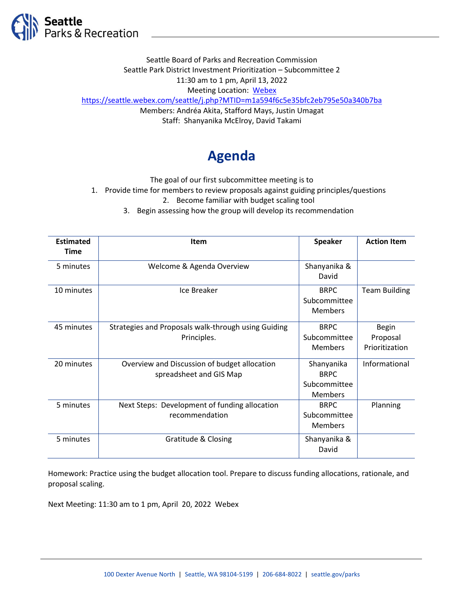

Seattle Board of Parks and Recreation Commission Seattle Park District Investment Prioritization – Subcommittee 2 11:30 am to 1 pm, April 13, 2022 Meeting Location: [Webex](https://seattle.webex.com/seattle/j.php?MTID=m1a594f6c5e35bfc2eb795e50a340b7ba) <https://seattle.webex.com/seattle/j.php?MTID=m1a594f6c5e35bfc2eb795e50a340b7ba> Members: Andréa Akita, Stafford Mays, Justin Umagat Staff: Shanyanika McElroy, David Takami

## **Agenda**

The goal of our first subcommittee meeting is to

1. Provide time for members to review proposals against guiding principles/questions

2. Become familiar with budget scaling tool

3. Begin assessing how the group will develop its recommendation

| <b>Estimated</b> | <b>Item</b>                                         | <b>Speaker</b> | <b>Action Item</b>   |
|------------------|-----------------------------------------------------|----------------|----------------------|
| <b>Time</b>      |                                                     |                |                      |
| 5 minutes        | Welcome & Agenda Overview                           | Shanyanika &   |                      |
|                  |                                                     | David          |                      |
| 10 minutes       | Ice Breaker                                         | <b>BRPC</b>    | <b>Team Building</b> |
|                  |                                                     | Subcommittee   |                      |
|                  |                                                     | <b>Members</b> |                      |
| 45 minutes       | Strategies and Proposals walk-through using Guiding | <b>BRPC</b>    | <b>Begin</b>         |
|                  | Principles.                                         | Subcommittee   | Proposal             |
|                  |                                                     | <b>Members</b> | Prioritization       |
| 20 minutes       | Overview and Discussion of budget allocation        | Shanyanika     | Informational        |
|                  | spreadsheet and GIS Map                             | <b>BRPC</b>    |                      |
|                  |                                                     | Subcommittee   |                      |
|                  |                                                     | <b>Members</b> |                      |
| 5 minutes        | Next Steps: Development of funding allocation       | <b>BRPC</b>    | Planning             |
|                  | recommendation                                      | Subcommittee   |                      |
|                  |                                                     | <b>Members</b> |                      |
| 5 minutes        | Gratitude & Closing                                 | Shanyanika &   |                      |
|                  |                                                     | David          |                      |

Homework: Practice using the budget allocation tool. Prepare to discuss funding allocations, rationale, and proposal scaling.

Next Meeting: 11:30 am to 1 pm, April 20, 2022 Webex